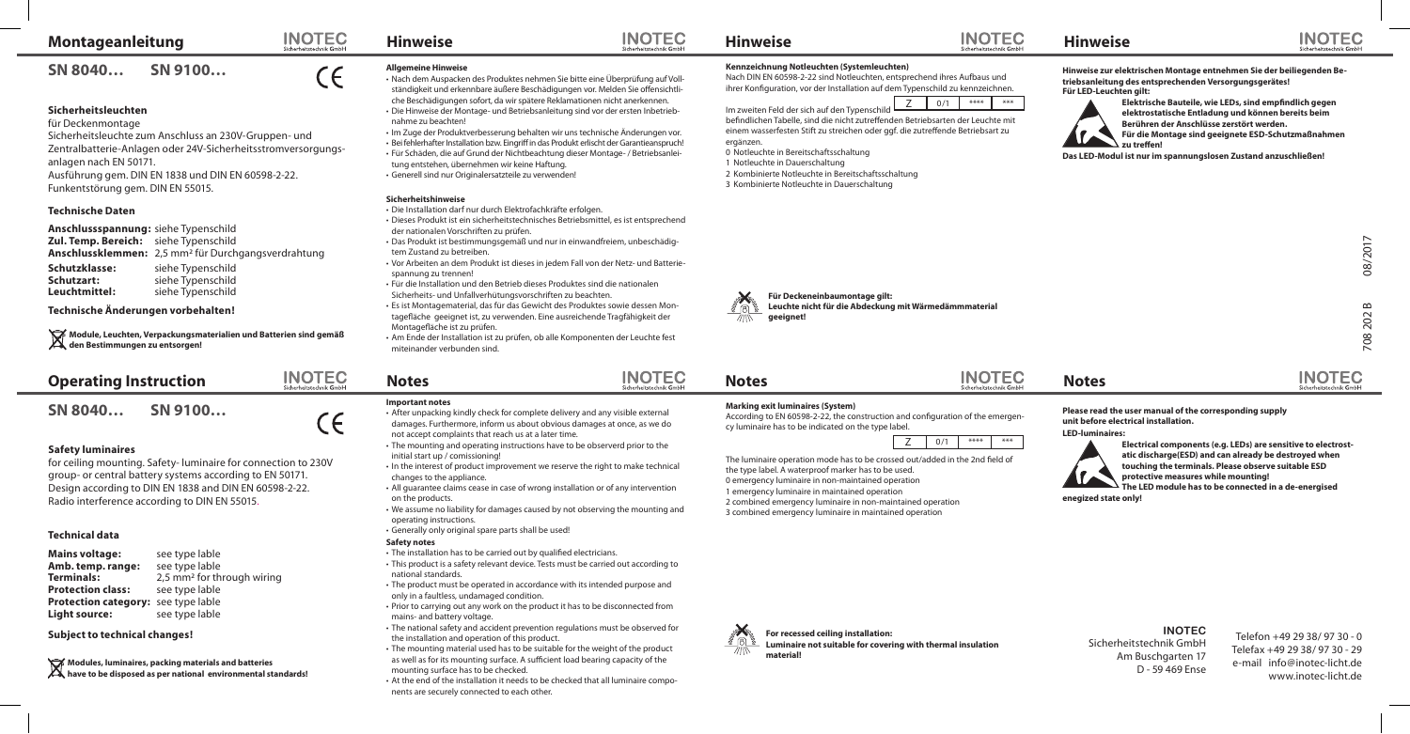# **Montageanleitung**

**SN 8040… SN 9100…**

# **Sicherheitsleuchten**

für Deckenmontage Sicherheitsleuchte zum Anschluss an 230V-Gruppen- und Zentralbatterie-Anlagen oder 24V-Sicherheitsstromversorgungsanlagen nach EN 50171. Ausführung gem. DIN EN 1838 und DIN EN 60598-2-22. Funkentstörung gem. DIN EN 55015.

### **Technische Daten**

**Anschlussspannung:** siehe Typenschild **Zul. Temp. Bereich:** siehe Typenschild **Anschlussklemmen:** 2,5 mm² für Durchgangsverdrahtung

**Schutzklasse:** siehe Typenschild<br> **Schutzart:** siehe Typenschild **Schutzart:** siehe Typenschild<br> **Leuchtmittel:** siehe Typenschild siehe Typenschild

### **Technische Änderungen vorbehalten!**

**Module, Leuchten, Verpackungsmaterialien und Batterien sind gemäß den Bestimmungen zu entsorgen!**

| <b>Operating Instruction</b> |         |
|------------------------------|---------|
| SN 8040                      | SN 9100 |

# **Safety luminaires**

for ceiling mounting. Safety- luminaire for connection to 230V group- or central battery systems according to EN 50171. Design according to DIN EN 1838 and DIN EN 60598-2-22. Radio interference according to DIN EN 55015.

## **Technical data**

**Mains voltage:** see type lable **Amb. temp. range:** see type lable<br>**Terminals:** 2.5 mm<sup>2</sup> for th 2,5 mm<sup>2</sup> for through wiring<br>see type lable **Protection class: Protection category:** see type lable **Light source:** see type lable

**Subject to technical changes!**

**Modules, luminaires, packing materials and batteries have to be disposed as per national environmental standards!**

#### **INOTEC Hinweise**

 $\in$ 

**INOTEC** 

schoitetochnik Cmb

 $\epsilon$ 

- Nach dem Auspacken des Produktes nehmen Sie bitte eine Überprüfung auf Vollständigkeit und erkennbare äußere Beschädigungen vor. Melden Sie offensichtliche Beschädigungen sofort, da wir spätere Reklamationen nicht anerkennen.
- Die Hinweise der Montage- und Betriebsanleitung sind vor der ersten Inbetriebnahme zu beachten!
- Im Zuge der Produktverbesserung behalten wir uns technische Änderungen vor. • Bei fehlerhafter Installation bzw. Eingriff in das Produkt erlischt der Garantieanspruch! • Für Schäden, die auf Grund der Nichtbeachtung dieser Montage- / Betriebsanleitung entstehen, übernehmen wir keine Haftung.
- Generell sind nur Originalersatzteile zu verwenden!

#### **Sicherheitshinweise**

- Die Installation darf nur durch Elektrofachkräfte erfolgen.
- Dieses Produkt ist ein sicherheitstechnisches Betriebsmittel, es ist entsprechend der nationalen Vorschriften zu prüfen.
- Das Produkt ist bestimmungsgemäß und nur in einwandfreiem, unbeschädigtem Zustand zu betreiben.
- Vor Arbeiten an dem Produkt ist dieses in jedem Fall von der Netz- und Batteriespannung zu trennen!
- Für die Installation und den Betrieb dieses Produktes sind die nationalen Sicherheits- und Unfallverhütungsvorschriften zu beachten.
- Es ist Montagematerial, das für das Gewicht des Produktes sowie dessen Mon-
- tagefläche geeignet ist, zu verwenden. Eine ausreichende Tragfähigkeit der Montagefläche ist zu prüfen.
- Am Ende der Installation ist zu prüfen, ob alle Komponenten der Leuchte fest miteinander verbunden sind.

# **Notes**

#### **Important notes**

- After unpacking kindly check for complete delivery and any visible external damages. Furthermore, inform us about obvious damages at once, as we do
- not accept complaints that reach us at a later time. • The mounting and operating instructions have to be observerd prior to the
- initial start up / comissioning!
- In the interest of product improvement we reserve the right to make technical changes to the appliance.
- All guarantee claims cease in case of wrong installation or of any intervention on the products.
- We assume no liability for damages caused by not observing the mounting and operating instructions.
- Generally only original spare parts shall be used!

# **Safety notes**

- The installation has to be carried out by qualified electricians.
- This product is a safety relevant device. Tests must be carried out according to national standards.
- The product must be operated in accordance with its intended purpose and only in a faultless, undamaged condition.
- Prior to carrying out any work on the product it has to be disconnected from mains- and battery voltage.
- The national safety and accident prevention regulations must be observed for the installation and operation of this product.
- The mounting material used has to be suitable for the weight of the product as well as for its mounting surface. A sufficient load bearing capacity of the mounting surface has to be checked.
- At the end of the installation it needs to be checked that all luminaire components are securely connected to each other.

## **Kennzeichnung Notleuchten (Systemleuchten)**

Nach DIN EN 60598-2-22 sind Notleuchten, entsprechend ihres Aufbaus und ihrer Konfiguration, vor der Installation auf dem Typenschild zu kennzeichnen.



befindlichen Tabelle, sind die nicht zutreffenden Betriebsarten der Leuchte mit einem wasserfesten Stift zu streichen oder ggf. die zutreffende Betriebsart zu ergänzen.

0 Notleuchte in Bereitschaftsschaltung

**Hinweise**

**INOTEC** 

**INOTEC** 

- 
- 
- 3 Kombinierte Notleuchte in Dauerschaltung

### **Hinweise zur elektrischen Montage entnehmen Sie der beiliegenden Betriebsanleitung des entsprechenden Versorgungsgerätes! Für LED-Leuchten gilt:**

**Elektrische Bauteile, wie LEDs, sind empfindlich gegen elektrostatische Entladung und können bereits beim Berühren der Anschlüsse zerstört werden.** 

**Für die Montage sind geeignete ESD-Schutzmaßnahmen zu treffen!** 

**Das LED-Modul ist nur im spannungslosen Zustand anzuschließen!**



# **Notes Notes**

**Marking exit luminaires (System)** According to EN 60598-2-22, the construction and configuration of the emergen-

**For recessed ceiling installation:**

**material!**

cy luminaire has to be indicated on the type label.



The luminaire operation mode has to be crossed out/added in the 2nd field of the type label. A waterproof marker has to be used. 0 emergency luminaire in non-maintained operation 1 emergency luminaire in maintained operation 2 combined emergency luminaire in non-maintained operation 3 combined emergency luminaire in maintained operation

**Luminaire not suitable for covering with thermal insulation** 

# **Please read the user manual of the corresponding supply unit before electrical installation.**

**LED-luminaires:** 



**enegized state only!**

# **INOTEC**

Sicherheitstechnik GmbH Am Buschgarten 17 D - 59 469 Ense

Telefon +49 29 38/ 97 30 - 0 Telefax +49 29 38/ 97 30 - 29 e-mail info@inotec-licht.de www.inotec-licht.de

 708 202 B 08/2017  $\infty$ 202 708

**INOTEC** 

08/2017

**INOTEC** 





1 Notleuchte in Dauerschaltung

2 Kombinierte Notleuchte in Bereitschaftsschaltung

**INOTEC Hinweise**

**Allgemeine Hinweise**